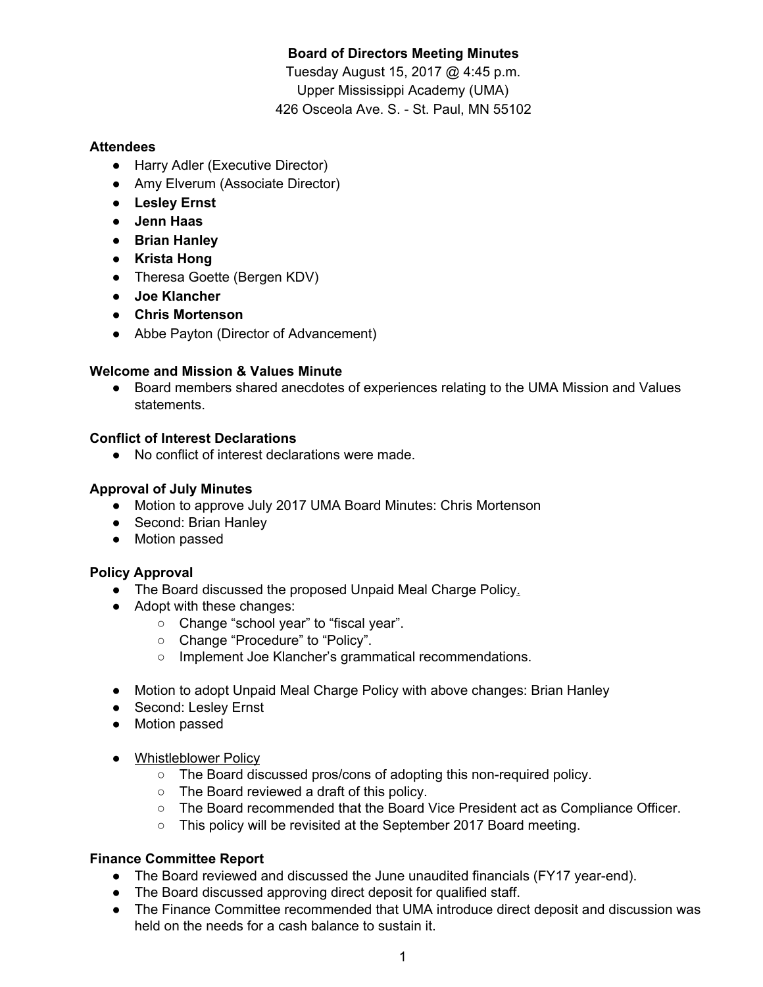# **Board of Directors Meeting Minutes**

Tuesday August 15, 2017 @ 4:45 p.m. Upper Mississippi Academy (UMA) 426 Osceola Ave. S. - St. Paul, MN 55102

### **Attendees**

- Harry Adler (Executive Director)
- Amy Elverum (Associate Director)
- **● Lesley Ernst**
- **● Jenn Haas**
- **● Brian Hanley**
- **● Krista Hong**
- Theresa Goette (Bergen KDV)
- **● Joe Klancher**
- **● Chris Mortenson**
- Abbe Payton (Director of Advancement)

### **Welcome and Mission & Values Minute**

● Board members shared anecdotes of experiences relating to the UMA Mission and Values statements.

### **Conflict of Interest Declarations**

● No conflict of interest declarations were made.

## **Approval of July Minutes**

- Motion to approve July 2017 UMA Board Minutes: Chris Mortenson
- Second: Brian Hanley
- Motion passed

## **Policy Approval**

- The Board discussed the proposed Unpaid Meal Charge Policy.
- Adopt with these changes:
	- Change "school year" to "fiscal year".
	- Change "Procedure" to "Policy".
	- Implement Joe Klancher's grammatical recommendations.
- Motion to adopt Unpaid Meal Charge Policy with above changes: Brian Hanley
- Second: Leslev Ernst
- Motion passed
- Whistleblower Policy
	- The Board discussed pros/cons of adopting this non-required policy.
	- The Board reviewed a draft of this policy.
	- The Board recommended that the Board Vice President act as Compliance Officer.
	- This policy will be revisited at the September 2017 Board meeting.

## **Finance Committee Report**

- The Board reviewed and discussed the June unaudited financials (FY17 year-end).
- The Board discussed approving direct deposit for qualified staff.
- The Finance Committee recommended that UMA introduce direct deposit and discussion was held on the needs for a cash balance to sustain it.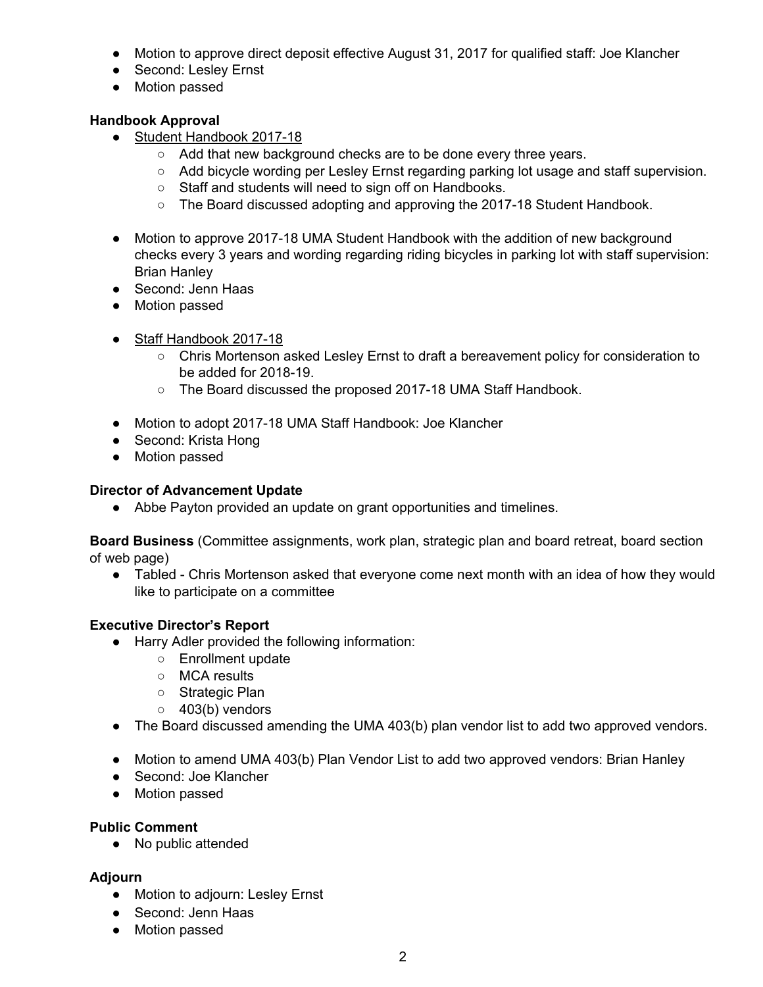- Motion to approve direct deposit effective August 31, 2017 for qualified staff: Joe Klancher
- Second: Lesley Ernst
- Motion passed

### **Handbook Approval**

- Student Handbook 2017-18
	- Add that new background checks are to be done every three years.
	- Add bicycle wording per Lesley Ernst regarding parking lot usage and staff supervision.
	- Staff and students will need to sign off on Handbooks.
	- The Board discussed adopting and approving the 2017-18 Student Handbook.
- Motion to approve 2017-18 UMA Student Handbook with the addition of new background checks every 3 years and wording regarding riding bicycles in parking lot with staff supervision: Brian Hanley
- Second: Jenn Haas
- Motion passed
- Staff Handbook 2017-18
	- Chris Mortenson asked Lesley Ernst to draft a bereavement policy for consideration to be added for 2018-19.
	- The Board discussed the proposed 2017-18 UMA Staff Handbook.
- Motion to adopt 2017-18 UMA Staff Handbook: Joe Klancher
- Second: Krista Hong
- Motion passed

### **Director of Advancement Update**

● Abbe Payton provided an update on grant opportunities and timelines.

**Board Business** (Committee assignments, work plan, strategic plan and board retreat, board section of web page)

● Tabled - Chris Mortenson asked that everyone come next month with an idea of how they would like to participate on a committee

#### **Executive Director's Report**

- Harry Adler provided the following information:
	- Enrollment update
	- MCA results
	- Strategic Plan
	- $\circ$  403(b) vendors
- The Board discussed amending the UMA 403(b) plan vendor list to add two approved vendors.
- Motion to amend UMA 403(b) Plan Vendor List to add two approved vendors: Brian Hanley
- Second: Joe Klancher
- Motion passed

#### **Public Comment**

● No public attended

#### **Adjourn**

- Motion to adjourn: Lesley Ernst
- Second: Jenn Haas
- Motion passed